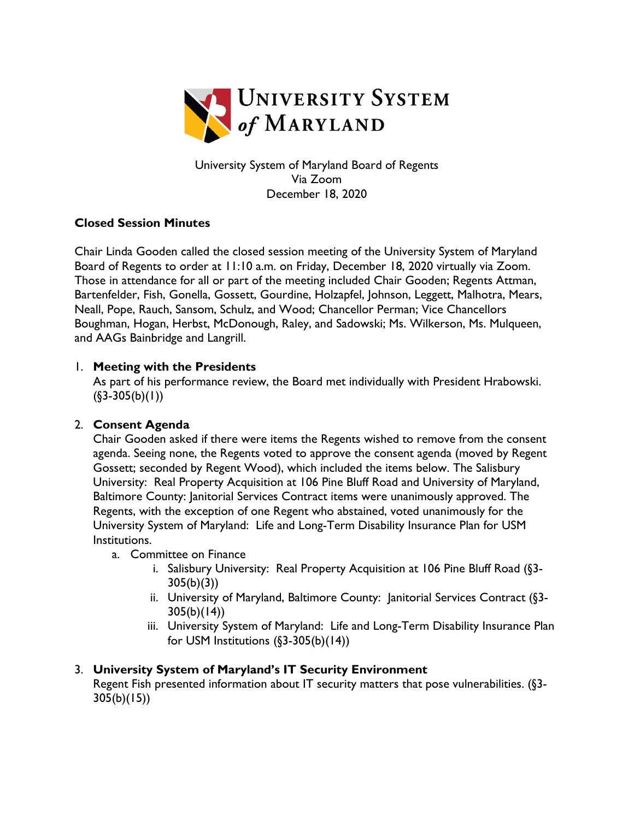

University System of Maryland Board of Regents Via Zoom December 18, 2020

# **Closed Session Minutes**

Chair Linda Gooden called the closed session meeting of the University System of Maryland Board of Regents to order at 11:10 a.m. on Friday, December 18, 2020 virtually via Zoom. Those in attendance for all or part of the meeting included Chair Gooden; Regents Attman, Bartenfelder, Fish, Gonella, Gossett, Gourdine, Holzapfel, Johnson, Leggett, Malhotra, Mears, Neall, Pope, Rauch, Sansom, Schulz, and Wood; Chancellor Perman; Vice Chancellors Boughman, Hogan, Herbst, McDonough, Raley, and Sadowski; Ms. Wilkerson, Ms. Mulqueen, and AAGs Bainbridge and Langrill.

### 1. **Meeting with the Presidents**

As part of his performance review, the Board met individually with President Hrabowski.  $($ §3-305(b)(1))

### 2. **Consent Agenda**

Chair Gooden asked if there were items the Regents wished to remove from the consent agenda. Seeing none, the Regents voted to approve the consent agenda (moved by Regent Gossett; seconded by Regent Wood), which included the items below. The Salisbury University: Real Property Acquisition at 106 Pine Bluff Road and University of Maryland, Baltimore County: Janitorial Services Contract items were unanimously approved. The Regents, with the exception of one Regent who abstained, voted unanimously for the University System of Maryland: Life and Long-Term Disability Insurance Plan for USM Institutions.

- a. Committee on Finance
	- i. Salisbury University: Real Property Acquisition at 106 Pine Bluff Road (§3-  $305(b)(3)$
	- ii. University of Maryland, Baltimore County: Janitorial Services Contract (§3-  $305(b)(14)$
	- iii. University System of Maryland: Life and Long-Term Disability Insurance Plan for USM Institutions (§3-305(b)(14))

### 3. **University System of Maryland's IT Security Environment**

Regent Fish presented information about IT security matters that pose vulnerabilities. (§3-  $305(b)(15)$